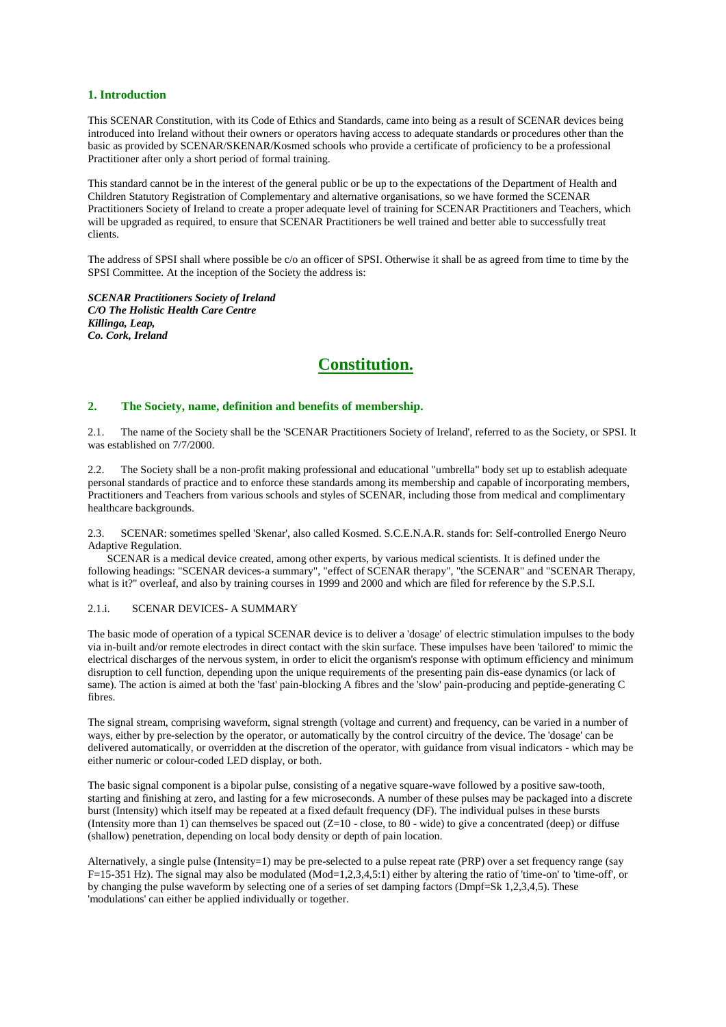## **1. Introduction**

This SCENAR Constitution, with its Code of Ethics and Standards, came into being as a result of SCENAR devices being introduced into Ireland without their owners or operators having access to adequate standards or procedures other than the basic as provided by SCENAR/SKENAR/Kosmed schools who provide a certificate of proficiency to be a professional Practitioner after only a short period of formal training.

This standard cannot be in the interest of the general public or be up to the expectations of the Department of Health and Children Statutory Registration of Complementary and alternative organisations, so we have formed the SCENAR Practitioners Society of Ireland to create a proper adequate level of training for SCENAR Practitioners and Teachers, which will be upgraded as required, to ensure that SCENAR Practitioners be well trained and better able to successfully treat clients.

The address of SPSI shall where possible be c/o an officer of SPSI. Otherwise it shall be as agreed from time to time by the SPSI Committee. At the inception of the Society the address is:

*SCENAR Practitioners Society of Ireland C/O The Holistic Health Care Centre Killinga, Leap, Co. Cork, Ireland*

# **Constitution.**

### **2. The Society, name, definition and benefits of membership.**

2.1. The name of the Society shall be the 'SCENAR Practitioners Society of Ireland', referred to as the Society, or SPSI. It was established on 7/7/2000.

2.2. The Society shall be a non-profit making professional and educational "umbrella" body set up to establish adequate personal standards of practice and to enforce these standards among its membership and capable of incorporating members, Practitioners and Teachers from various schools and styles of SCENAR, including those from medical and complimentary healthcare backgrounds.

2.3. SCENAR: sometimes spelled 'Skenar', also called Kosmed. S.C.E.N.A.R. stands for: Self-controlled Energo Neuro Adaptive Regulation.

 SCENAR is a medical device created, among other experts, by various medical scientists. It is defined under the following headings: "SCENAR devices-a summary", "effect of SCENAR therapy", "the SCENAR" and "SCENAR Therapy, what is it?" overleaf, and also by training courses in 1999 and 2000 and which are filed for reference by the S.P.S.I.

### 2.1.i. SCENAR DEVICES- A SUMMARY

The basic mode of operation of a typical SCENAR device is to deliver a 'dosage' of electric stimulation impulses to the body via in-built and/or remote electrodes in direct contact with the skin surface. These impulses have been 'tailored' to mimic the electrical discharges of the nervous system, in order to elicit the organism's response with optimum efficiency and minimum disruption to cell function, depending upon the unique requirements of the presenting pain dis-ease dynamics (or lack of same). The action is aimed at both the 'fast' pain-blocking A fibres and the 'slow' pain-producing and peptide-generating C fibres.

The signal stream, comprising waveform, signal strength (voltage and current) and frequency, can be varied in a number of ways, either by pre-selection by the operator, or automatically by the control circuitry of the device. The 'dosage' can be delivered automatically, or overridden at the discretion of the operator, with guidance from visual indicators - which may be either numeric or colour-coded LED display, or both.

The basic signal component is a bipolar pulse, consisting of a negative square-wave followed by a positive saw-tooth, starting and finishing at zero, and lasting for a few microseconds. A number of these pulses may be packaged into a discrete burst (Intensity) which itself may be repeated at a fixed default frequency (DF). The individual pulses in these bursts (Intensity more than 1) can themselves be spaced out  $(Z=10 - \text{close}, \text{to } 80 - \text{wide})$  to give a concentrated (deep) or diffuse (shallow) penetration, depending on local body density or depth of pain location.

Alternatively, a single pulse (Intensity=1) may be pre-selected to a pulse repeat rate (PRP) over a set frequency range (say F=15-351 Hz). The signal may also be modulated (Mod=1,2,3,4,5:1) either by altering the ratio of 'time-on' to 'time-off', or by changing the pulse waveform by selecting one of a series of set damping factors (Dmpf=Sk 1,2,3,4,5). These 'modulations' can either be applied individually or together.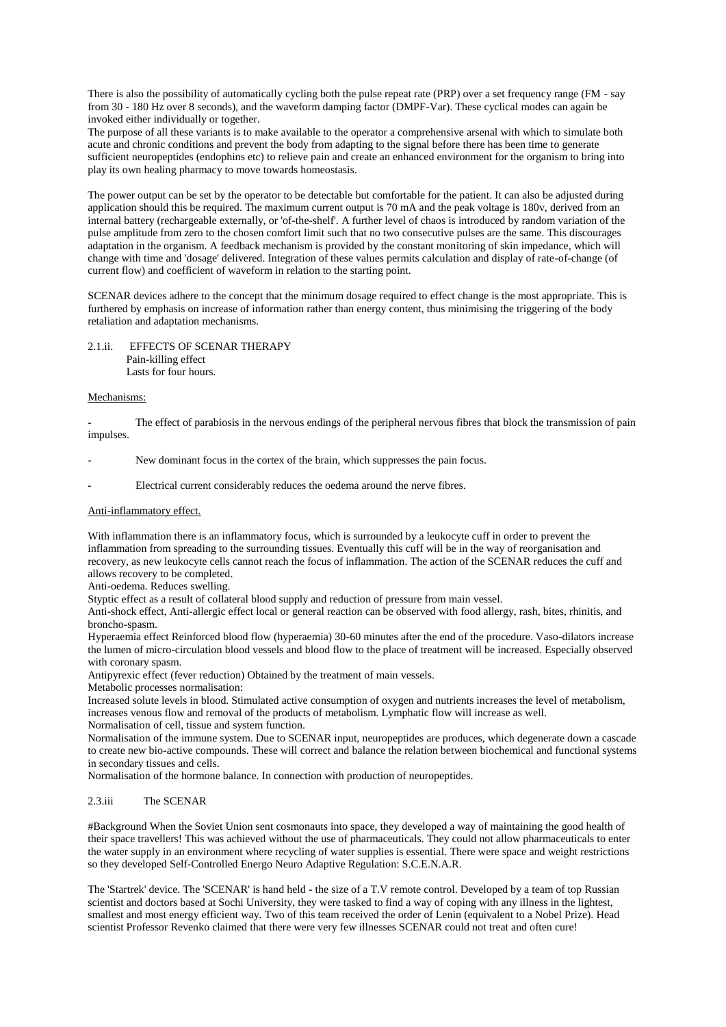There is also the possibility of automatically cycling both the pulse repeat rate (PRP) over a set frequency range (FM - say from 30 - 180 Hz over 8 seconds), and the waveform damping factor (DMPF-Var). These cyclical modes can again be invoked either individually or together.

The purpose of all these variants is to make available to the operator a comprehensive arsenal with which to simulate both acute and chronic conditions and prevent the body from adapting to the signal before there has been time to generate sufficient neuropeptides (endophins etc) to relieve pain and create an enhanced environment for the organism to bring into play its own healing pharmacy to move towards homeostasis.

The power output can be set by the operator to be detectable but comfortable for the patient. It can also be adjusted during application should this be required. The maximum current output is 70 mA and the peak voltage is 180v, derived from an internal battery (rechargeable externally, or 'of-the-shelf'. A further level of chaos is introduced by random variation of the pulse amplitude from zero to the chosen comfort limit such that no two consecutive pulses are the same. This discourages adaptation in the organism. A feedback mechanism is provided by the constant monitoring of skin impedance, which will change with time and 'dosage' delivered. Integration of these values permits calculation and display of rate-of-change (of current flow) and coefficient of waveform in relation to the starting point.

SCENAR devices adhere to the concept that the minimum dosage required to effect change is the most appropriate. This is furthered by emphasis on increase of information rather than energy content, thus minimising the triggering of the body retaliation and adaptation mechanisms.

2.1.ii. EFFECTS OF SCENAR THERAPY Pain-killing effect Lasts for four hours.

### Mechanisms:

The effect of parabiosis in the nervous endings of the peripheral nervous fibres that block the transmission of pain impulses.

- New dominant focus in the cortex of the brain, which suppresses the pain focus.
- Electrical current considerably reduces the oedema around the nerve fibres.

### Anti-inflammatory effect.

With inflammation there is an inflammatory focus, which is surrounded by a leukocyte cuff in order to prevent the inflammation from spreading to the surrounding tissues. Eventually this cuff will be in the way of reorganisation and recovery, as new leukocyte cells cannot reach the focus of inflammation. The action of the SCENAR reduces the cuff and allows recovery to be completed.

Anti-oedema. Reduces swelling.

Styptic effect as a result of collateral blood supply and reduction of pressure from main vessel.

Anti-shock effect, Anti-allergic effect local or general reaction can be observed with food allergy, rash, bites, rhinitis, and broncho-spasm.

Hyperaemia effect Reinforced blood flow (hyperaemia) 30-60 minutes after the end of the procedure. Vaso-dilators increase the lumen of micro-circulation blood vessels and blood flow to the place of treatment will be increased. Especially observed with coronary spasm.

Antipyrexic effect (fever reduction) Obtained by the treatment of main vessels.

Metabolic processes normalisation:

Increased solute levels in blood. Stimulated active consumption of oxygen and nutrients increases the level of metabolism, increases venous flow and removal of the products of metabolism. Lymphatic flow will increase as well. Normalisation of cell, tissue and system function.

Normalisation of the immune system. Due to SCENAR input, neuropeptides are produces, which degenerate down a cascade to create new bio-active compounds. These will correct and balance the relation between biochemical and functional systems in secondary tissues and cells.

Normalisation of the hormone balance. In connection with production of neuropeptides.

## 2.3.iii The SCENAR

#Background When the Soviet Union sent cosmonauts into space, they developed a way of maintaining the good health of their space travellers! This was achieved without the use of pharmaceuticals. They could not allow pharmaceuticals to enter the water supply in an environment where recycling of water supplies is essential. There were space and weight restrictions so they developed Self-Controlled Energo Neuro Adaptive Regulation: S.C.E.N.A.R.

The 'Startrek' device. The 'SCENAR' is hand held - the size of a T.V remote control. Developed by a team of top Russian scientist and doctors based at Sochi University, they were tasked to find a way of coping with any illness in the lightest, smallest and most energy efficient way. Two of this team received the order of Lenin (equivalent to a Nobel Prize). Head scientist Professor Revenko claimed that there were very few illnesses SCENAR could not treat and often cure!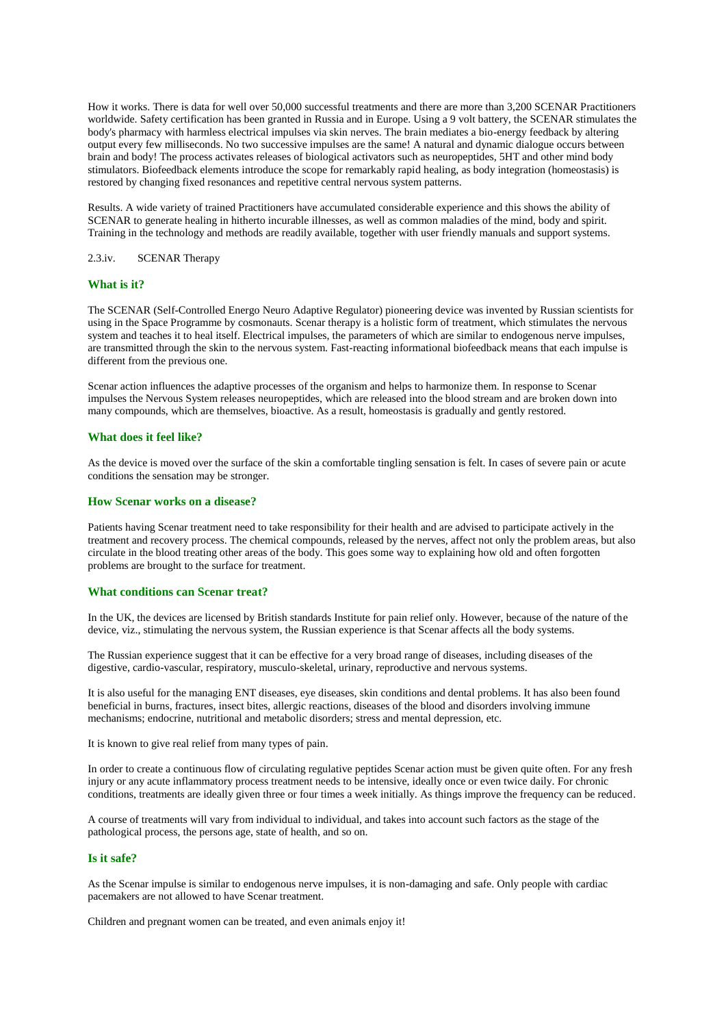How it works. There is data for well over 50,000 successful treatments and there are more than 3,200 SCENAR Practitioners worldwide. Safety certification has been granted in Russia and in Europe. Using a 9 volt battery, the SCENAR stimulates the body's pharmacy with harmless electrical impulses via skin nerves. The brain mediates a bio-energy feedback by altering output every few milliseconds. No two successive impulses are the same! A natural and dynamic dialogue occurs between brain and body! The process activates releases of biological activators such as neuropeptides, 5HT and other mind body stimulators. Biofeedback elements introduce the scope for remarkably rapid healing, as body integration (homeostasis) is restored by changing fixed resonances and repetitive central nervous system patterns.

Results. A wide variety of trained Practitioners have accumulated considerable experience and this shows the ability of SCENAR to generate healing in hitherto incurable illnesses, as well as common maladies of the mind, body and spirit. Training in the technology and methods are readily available, together with user friendly manuals and support systems.

2.3.iv. SCENAR Therapy

### **What is it?**

The SCENAR (Self-Controlled Energo Neuro Adaptive Regulator) pioneering device was invented by Russian scientists for using in the Space Programme by cosmonauts. Scenar therapy is a holistic form of treatment, which stimulates the nervous system and teaches it to heal itself. Electrical impulses, the parameters of which are similar to endogenous nerve impulses, are transmitted through the skin to the nervous system. Fast-reacting informational biofeedback means that each impulse is different from the previous one.

Scenar action influences the adaptive processes of the organism and helps to harmonize them. In response to Scenar impulses the Nervous System releases neuropeptides, which are released into the blood stream and are broken down into many compounds, which are themselves, bioactive. As a result, homeostasis is gradually and gently restored.

### **What does it feel like?**

As the device is moved over the surface of the skin a comfortable tingling sensation is felt. In cases of severe pain or acute conditions the sensation may be stronger.

## **How Scenar works on a disease?**

Patients having Scenar treatment need to take responsibility for their health and are advised to participate actively in the treatment and recovery process. The chemical compounds, released by the nerves, affect not only the problem areas, but also circulate in the blood treating other areas of the body. This goes some way to explaining how old and often forgotten problems are brought to the surface for treatment.

### **What conditions can Scenar treat?**

In the UK, the devices are licensed by British standards Institute for pain relief only. However, because of the nature of the device, viz., stimulating the nervous system, the Russian experience is that Scenar affects all the body systems.

The Russian experience suggest that it can be effective for a very broad range of diseases, including diseases of the digestive, cardio-vascular, respiratory, musculo-skeletal, urinary, reproductive and nervous systems.

It is also useful for the managing ENT diseases, eye diseases, skin conditions and dental problems. It has also been found beneficial in burns, fractures, insect bites, allergic reactions, diseases of the blood and disorders involving immune mechanisms; endocrine, nutritional and metabolic disorders; stress and mental depression, etc.

It is known to give real relief from many types of pain.

In order to create a continuous flow of circulating regulative peptides Scenar action must be given quite often. For any fresh injury or any acute inflammatory process treatment needs to be intensive, ideally once or even twice daily. For chronic conditions, treatments are ideally given three or four times a week initially. As things improve the frequency can be reduced.

A course of treatments will vary from individual to individual, and takes into account such factors as the stage of the pathological process, the persons age, state of health, and so on.

### **Is it safe?**

As the Scenar impulse is similar to endogenous nerve impulses, it is non-damaging and safe. Only people with cardiac pacemakers are not allowed to have Scenar treatment.

Children and pregnant women can be treated, and even animals enjoy it!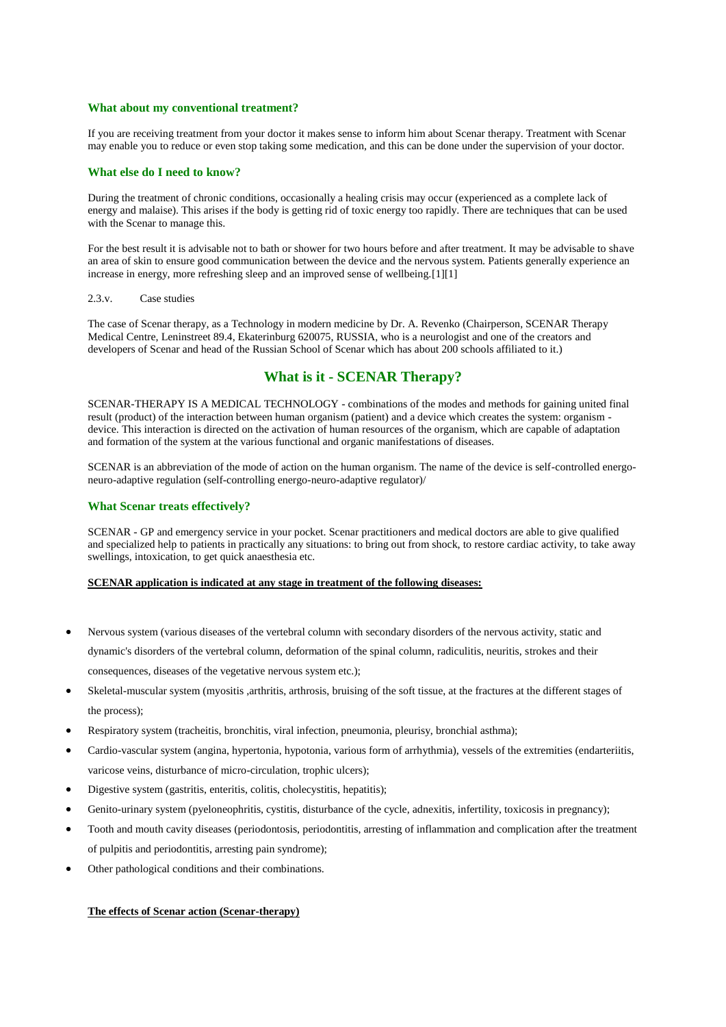### **What about my conventional treatment?**

If you are receiving treatment from your doctor it makes sense to inform him about Scenar therapy. Treatment with Scenar may enable you to reduce or even stop taking some medication, and this can be done under the supervision of your doctor.

### **What else do I need to know?**

During the treatment of chronic conditions, occasionally a healing crisis may occur (experienced as a complete lack of energy and malaise). This arises if the body is getting rid of toxic energy too rapidly. There are techniques that can be used with the Scenar to manage this.

For the best result it is advisable not to bath or shower for two hours before and after treatment. It may be advisable to shave an area of skin to ensure good communication between the device and the nervous system. Patients generally experience an increase in energy, more refreshing sleep and an improved sense of wellbeing.[1][1]

### 2.3 v. Case studies

The case of Scenar therapy, as a Technology in modern medicine by Dr. A. Revenko (Chairperson, SCENAR Therapy Medical Centre, Leninstreet 89.4, Ekaterinburg 620075, RUSSIA, who is a neurologist and one of the creators and developers of Scenar and head of the Russian School of Scenar which has about 200 schools affiliated to it.)

## **What is it - SCENAR Therapy?**

SCENAR-THERAPY IS A MEDICAL TECHNOLOGY - combinations of the modes and methods for gaining united final result (product) of the interaction between human organism (patient) and a device which creates the system: organism device. This interaction is directed on the activation of human resources of the organism, which are capable of adaptation and formation of the system at the various functional and organic manifestations of diseases.

SCENAR is an abbreviation of the mode of action on the human organism. The name of the device is self-controlled energoneuro-adaptive regulation (self-controlling energo-neuro-adaptive regulator)/

### **What Scenar treats effectively?**

SCENAR - GP and emergency service in your pocket. Scenar practitioners and medical doctors are able to give qualified and specialized help to patients in practically any situations: to bring out from shock, to restore cardiac activity, to take away swellings, intoxication, to get quick anaesthesia etc.

### **SCENAR application is indicated at any stage in treatment of the following diseases:**

- Nervous system (various diseases of the vertebral column with secondary disorders of the nervous activity, static and dynamic's disorders of the vertebral column, deformation of the spinal column, radiculitis, neuritis, strokes and their consequences, diseases of the vegetative nervous system etc.);
- Skeletal-muscular system (myositis ,arthritis, arthrosis, bruising of the soft tissue, at the fractures at the different stages of the process);
- Respiratory system (tracheitis, bronchitis, viral infection, pneumonia, pleurisy, bronchial asthma);
- Cardio-vascular system (angina, hypertonia, hypotonia, various form of arrhythmia), vessels of the extremities (endarteriitis, varicose veins, disturbance of micro-circulation, trophic ulcers);
- Digestive system (gastritis, enteritis, colitis, cholecystitis, hepatitis);
- Genito-urinary system (pyeloneophritis, cystitis, disturbance of the cycle, adnexitis, infertility, toxicosis in pregnancy);
- Tooth and mouth cavity diseases (periodontosis, periodontitis, arresting of inflammation and complication after the treatment of pulpitis and periodontitis, arresting pain syndrome);
- Other pathological conditions and their combinations.

## **The effects of Scenar action (Scenar-therapy)**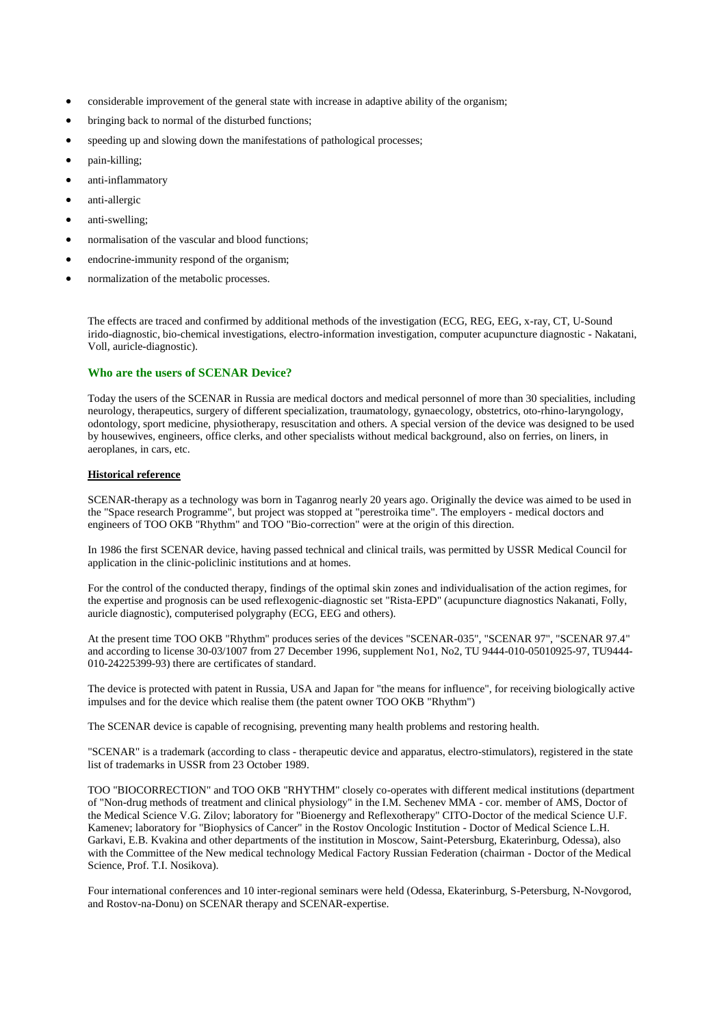- considerable improvement of the general state with increase in adaptive ability of the organism;
- bringing back to normal of the disturbed functions;
- speeding up and slowing down the manifestations of pathological processes;
- pain-killing;
- anti-inflammatory
- anti-allergic
- anti-swelling;
- normalisation of the vascular and blood functions;
- endocrine-immunity respond of the organism;
- normalization of the metabolic processes.

The effects are traced and confirmed by additional methods of the investigation (ECG, REG, EEG, x-ray, CT, U-Sound irido-diagnostic, bio-chemical investigations, electro-information investigation, computer acupuncture diagnostic - Nakatani, Voll, auricle-diagnostic).

## **Who are the users of SCENAR Device?**

Today the users of the SCENAR in Russia are medical doctors and medical personnel of more than 30 specialities, including neurology, therapeutics, surgery of different specialization, traumatology, gynaecology, obstetrics, oto-rhino-laryngology, odontology, sport medicine, physiotherapy, resuscitation and others. A special version of the device was designed to be used by housewives, engineers, office clerks, and other specialists without medical background, also on ferries, on liners, in aeroplanes, in cars, etc.

## **Historical reference**

SCENAR-therapy as a technology was born in Taganrog nearly 20 years ago. Originally the device was aimed to be used in the "Space research Programme", but project was stopped at "perestroika time". The employers - medical doctors and engineers of TOO OKB "Rhythm" and TOO "Bio-correction" were at the origin of this direction.

In 1986 the first SCENAR device, having passed technical and clinical trails, was permitted by USSR Medical Council for application in the clinic-policlinic institutions and at homes.

For the control of the conducted therapy, findings of the optimal skin zones and individualisation of the action regimes, for the expertise and prognosis can be used reflexogenic-diagnostic set "Rista-EPD" (acupuncture diagnostics Nakanati, Folly, auricle diagnostic), computerised polygraphy (ECG, EEG and others).

At the present time TOO OKB "Rhythm" produces series of the devices "SCENAR-035", "SCENAR 97", "SCENAR 97.4" and according to license 30-03/1007 from 27 December 1996, supplement No1, No2, TU 9444-010-05010925-97, TU9444- 010-24225399-93) there are certificates of standard.

The device is protected with patent in Russia, USA and Japan for "the means for influence", for receiving biologically active impulses and for the device which realise them (the patent owner TOO OKB "Rhythm")

The SCENAR device is capable of recognising, preventing many health problems and restoring health.

"SCENAR" is a trademark (according to class - therapeutic device and apparatus, electro-stimulators), registered in the state list of trademarks in USSR from 23 October 1989.

TOO "BIOCORRECTION" and TOO OKB "RHYTHM" closely co-operates with different medical institutions (department of "Non-drug methods of treatment and clinical physiology" in the I.M. Sechenev MMA - cor. member of AMS, Doctor of the Medical Science V.G. Zilov; laboratory for "Bioenergy and Reflexotherapy" CITO-Doctor of the medical Science U.F. Kamenev; laboratory for "Biophysics of Cancer" in the Rostov Oncologic Institution - Doctor of Medical Science L.H. Garkavi, E.B. Kvakina and other departments of the institution in Moscow, Saint-Petersburg, Ekaterinburg, Odessa), also with the Committee of the New medical technology Medical Factory Russian Federation (chairman - Doctor of the Medical Science, Prof. T.I. Nosikova).

Four international conferences and 10 inter-regional seminars were held (Odessa, Ekaterinburg, S-Petersburg, N-Novgorod, and Rostov-na-Donu) on SCENAR therapy and SCENAR-expertise.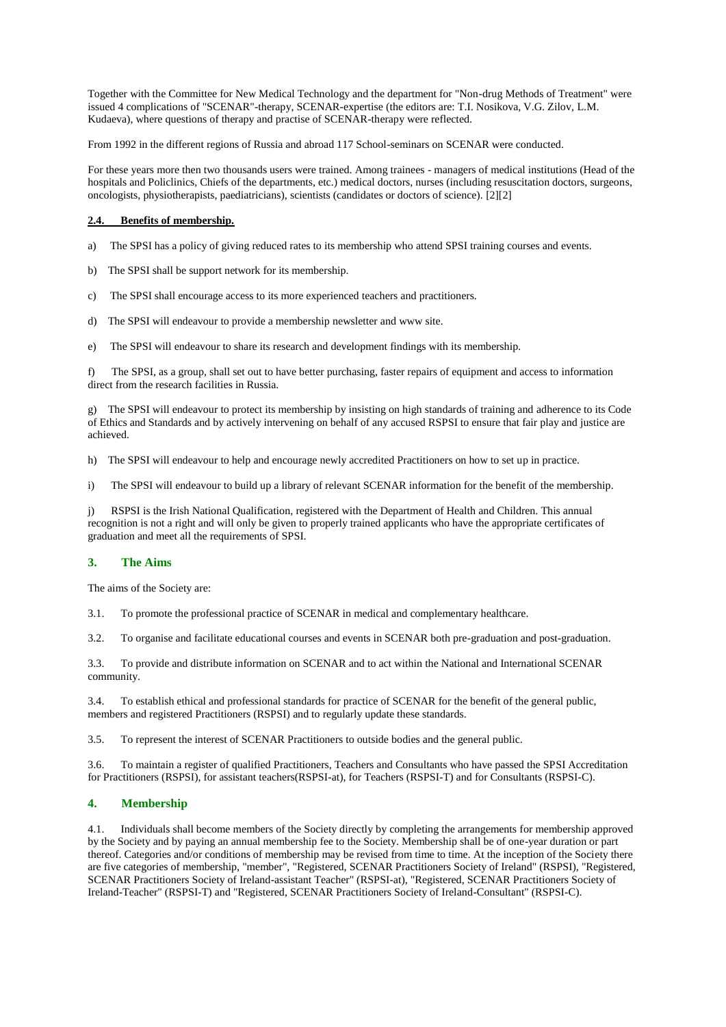Together with the Committee for New Medical Technology and the department for "Non-drug Methods of Treatment" were issued 4 complications of "SCENAR"-therapy, SCENAR-expertise (the editors are: T.I. Nosikova, V.G. Zilov, L.M. Kudaeva), where questions of therapy and practise of SCENAR-therapy were reflected.

From 1992 in the different regions of Russia and abroad 117 School-seminars on SCENAR were conducted.

For these years more then two thousands users were trained. Among trainees - managers of medical institutions (Head of the hospitals and Policlinics, Chiefs of the departments, etc.) medical doctors, nurses (including resuscitation doctors, surgeons, oncologists, physiotherapists, paediatricians), scientists (candidates or doctors of science). [2][2]

## **2.4. Benefits of membership.**

- a) The SPSI has a policy of giving reduced rates to its membership who attend SPSI training courses and events.
- b) The SPSI shall be support network for its membership.
- c) The SPSI shall encourage access to its more experienced teachers and practitioners.
- d) The SPSI will endeavour to provide a membership newsletter and www site.
- e) The SPSI will endeavour to share its research and development findings with its membership.

f) The SPSI, as a group, shall set out to have better purchasing, faster repairs of equipment and access to information direct from the research facilities in Russia.

g) The SPSI will endeavour to protect its membership by insisting on high standards of training and adherence to its Code of Ethics and Standards and by actively intervening on behalf of any accused RSPSI to ensure that fair play and justice are achieved.

h) The SPSI will endeavour to help and encourage newly accredited Practitioners on how to set up in practice.

i) The SPSI will endeavour to build up a library of relevant SCENAR information for the benefit of the membership.

j) RSPSI is the Irish National Qualification, registered with the Department of Health and Children. This annual recognition is not a right and will only be given to properly trained applicants who have the appropriate certificates of graduation and meet all the requirements of SPSI.

## **3. The Aims**

The aims of the Society are:

3.1. To promote the professional practice of SCENAR in medical and complementary healthcare.

3.2. To organise and facilitate educational courses and events in SCENAR both pre-graduation and post-graduation.

3.3. To provide and distribute information on SCENAR and to act within the National and International SCENAR community.

3.4. To establish ethical and professional standards for practice of SCENAR for the benefit of the general public, members and registered Practitioners (RSPSI) and to regularly update these standards.

3.5. To represent the interest of SCENAR Practitioners to outside bodies and the general public.

3.6. To maintain a register of qualified Practitioners, Teachers and Consultants who have passed the SPSI Accreditation for Practitioners (RSPSI), for assistant teachers(RSPSI-at), for Teachers (RSPSI-T) and for Consultants (RSPSI-C).

## **4. Membership**

4.1. Individuals shall become members of the Society directly by completing the arrangements for membership approved by the Society and by paying an annual membership fee to the Society. Membership shall be of one-year duration or part thereof. Categories and/or conditions of membership may be revised from time to time. At the inception of the Society there are five categories of membership, "member", "Registered, SCENAR Practitioners Society of Ireland" (RSPSI), "Registered, SCENAR Practitioners Society of Ireland-assistant Teacher" (RSPSI-at), "Registered, SCENAR Practitioners Society of Ireland-Teacher" (RSPSI-T) and "Registered, SCENAR Practitioners Society of Ireland-Consultant" (RSPSI-C).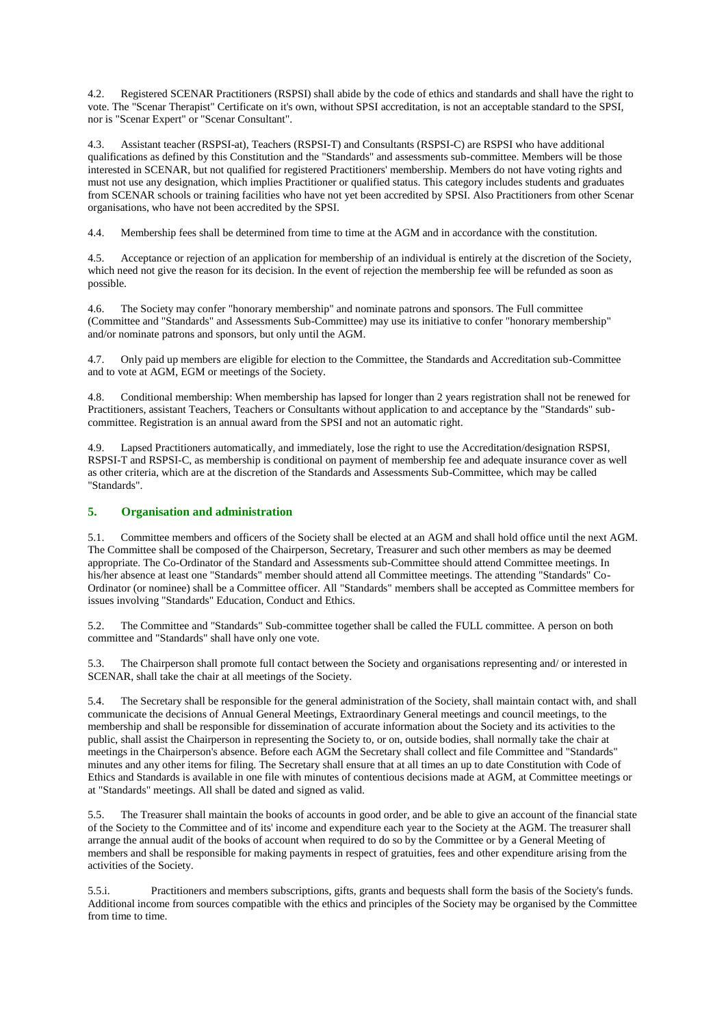4.2. Registered SCENAR Practitioners (RSPSI) shall abide by the code of ethics and standards and shall have the right to vote. The "Scenar Therapist" Certificate on it's own, without SPSI accreditation, is not an acceptable standard to the SPSI, nor is "Scenar Expert" or "Scenar Consultant".

4.3. Assistant teacher (RSPSI-at), Teachers (RSPSI-T) and Consultants (RSPSI-C) are RSPSI who have additional qualifications as defined by this Constitution and the "Standards" and assessments sub-committee. Members will be those interested in SCENAR, but not qualified for registered Practitioners' membership. Members do not have voting rights and must not use any designation, which implies Practitioner or qualified status. This category includes students and graduates from SCENAR schools or training facilities who have not yet been accredited by SPSI. Also Practitioners from other Scenar organisations, who have not been accredited by the SPSI.

4.4. Membership fees shall be determined from time to time at the AGM and in accordance with the constitution.

4.5. Acceptance or rejection of an application for membership of an individual is entirely at the discretion of the Society, which need not give the reason for its decision. In the event of rejection the membership fee will be refunded as soon as possible.

4.6. The Society may confer "honorary membership" and nominate patrons and sponsors. The Full committee (Committee and "Standards" and Assessments Sub-Committee) may use its initiative to confer "honorary membership" and/or nominate patrons and sponsors, but only until the AGM.

4.7. Only paid up members are eligible for election to the Committee, the Standards and Accreditation sub-Committee and to vote at AGM, EGM or meetings of the Society.

4.8. Conditional membership: When membership has lapsed for longer than 2 years registration shall not be renewed for Practitioners, assistant Teachers, Teachers or Consultants without application to and acceptance by the "Standards" subcommittee. Registration is an annual award from the SPSI and not an automatic right.

4.9. Lapsed Practitioners automatically, and immediately, lose the right to use the Accreditation/designation RSPSI, RSPSI-T and RSPSI-C, as membership is conditional on payment of membership fee and adequate insurance cover as well as other criteria, which are at the discretion of the Standards and Assessments Sub-Committee, which may be called "Standards".

## **5. Organisation and administration**

5.1. Committee members and officers of the Society shall be elected at an AGM and shall hold office until the next AGM. The Committee shall be composed of the Chairperson, Secretary, Treasurer and such other members as may be deemed appropriate. The Co-Ordinator of the Standard and Assessments sub-Committee should attend Committee meetings. In his/her absence at least one "Standards" member should attend all Committee meetings. The attending "Standards" Co-Ordinator (or nominee) shall be a Committee officer. All "Standards" members shall be accepted as Committee members for issues involving "Standards" Education, Conduct and Ethics.

5.2. The Committee and "Standards" Sub-committee together shall be called the FULL committee. A person on both committee and "Standards" shall have only one vote.

5.3. The Chairperson shall promote full contact between the Society and organisations representing and/ or interested in SCENAR, shall take the chair at all meetings of the Society.

5.4. The Secretary shall be responsible for the general administration of the Society, shall maintain contact with, and shall communicate the decisions of Annual General Meetings, Extraordinary General meetings and council meetings, to the membership and shall be responsible for dissemination of accurate information about the Society and its activities to the public, shall assist the Chairperson in representing the Society to, or on, outside bodies, shall normally take the chair at meetings in the Chairperson's absence. Before each AGM the Secretary shall collect and file Committee and "Standards" minutes and any other items for filing. The Secretary shall ensure that at all times an up to date Constitution with Code of Ethics and Standards is available in one file with minutes of contentious decisions made at AGM, at Committee meetings or at "Standards" meetings. All shall be dated and signed as valid.

5.5. The Treasurer shall maintain the books of accounts in good order, and be able to give an account of the financial state of the Society to the Committee and of its' income and expenditure each year to the Society at the AGM. The treasurer shall arrange the annual audit of the books of account when required to do so by the Committee or by a General Meeting of members and shall be responsible for making payments in respect of gratuities, fees and other expenditure arising from the activities of the Society.

5.5.i. Practitioners and members subscriptions, gifts, grants and bequests shall form the basis of the Society's funds. Additional income from sources compatible with the ethics and principles of the Society may be organised by the Committee from time to time.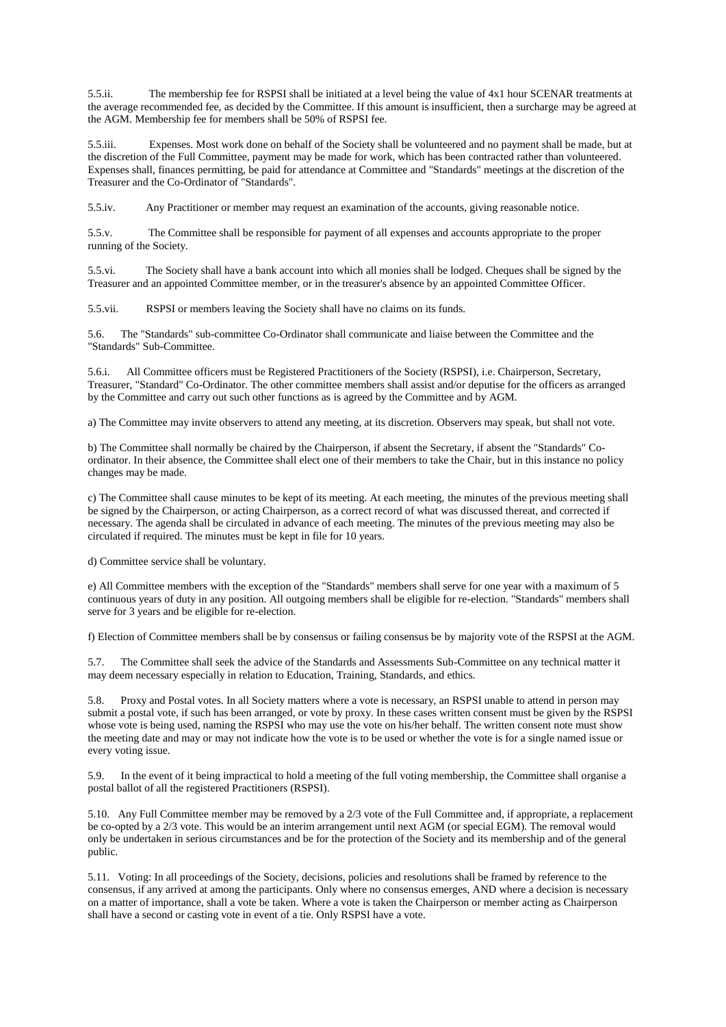5.5.ii. The membership fee for RSPSI shall be initiated at a level being the value of 4x1 hour SCENAR treatments at the average recommended fee, as decided by the Committee. If this amount is insufficient, then a surcharge may be agreed at the AGM. Membership fee for members shall be 50% of RSPSI fee.

5.5.iii. Expenses. Most work done on behalf of the Society shall be volunteered and no payment shall be made, but at the discretion of the Full Committee, payment may be made for work, which has been contracted rather than volunteered. Expenses shall, finances permitting, be paid for attendance at Committee and "Standards" meetings at the discretion of the Treasurer and the Co-Ordinator of "Standards".

5.5.iv. Any Practitioner or member may request an examination of the accounts, giving reasonable notice.

5.5.v. The Committee shall be responsible for payment of all expenses and accounts appropriate to the proper running of the Society.

5.5.vi. The Society shall have a bank account into which all monies shall be lodged. Cheques shall be signed by the Treasurer and an appointed Committee member, or in the treasurer's absence by an appointed Committee Officer.

5.5.vii. RSPSI or members leaving the Society shall have no claims on its funds.

5.6. The "Standards" sub-committee Co-Ordinator shall communicate and liaise between the Committee and the "Standards" Sub-Committee.

5.6.i. All Committee officers must be Registered Practitioners of the Society (RSPSI), i.e. Chairperson, Secretary, Treasurer, "Standard" Co-Ordinator. The other committee members shall assist and/or deputise for the officers as arranged by the Committee and carry out such other functions as is agreed by the Committee and by AGM.

a) The Committee may invite observers to attend any meeting, at its discretion. Observers may speak, but shall not vote.

b) The Committee shall normally be chaired by the Chairperson, if absent the Secretary, if absent the "Standards" Coordinator. In their absence, the Committee shall elect one of their members to take the Chair, but in this instance no policy changes may be made.

c) The Committee shall cause minutes to be kept of its meeting. At each meeting, the minutes of the previous meeting shall be signed by the Chairperson, or acting Chairperson, as a correct record of what was discussed thereat, and corrected if necessary. The agenda shall be circulated in advance of each meeting. The minutes of the previous meeting may also be circulated if required. The minutes must be kept in file for 10 years.

d) Committee service shall be voluntary.

e) All Committee members with the exception of the "Standards" members shall serve for one year with a maximum of 5 continuous years of duty in any position. All outgoing members shall be eligible for re-election. "Standards" members shall serve for 3 years and be eligible for re-election.

f) Election of Committee members shall be by consensus or failing consensus be by majority vote of the RSPSI at the AGM.

5.7. The Committee shall seek the advice of the Standards and Assessments Sub-Committee on any technical matter it may deem necessary especially in relation to Education, Training, Standards, and ethics.

5.8. Proxy and Postal votes. In all Society matters where a vote is necessary, an RSPSI unable to attend in person may submit a postal vote, if such has been arranged, or vote by proxy. In these cases written consent must be given by the RSPSI whose vote is being used, naming the RSPSI who may use the vote on his/her behalf. The written consent note must show the meeting date and may or may not indicate how the vote is to be used or whether the vote is for a single named issue or every voting issue.

5.9. In the event of it being impractical to hold a meeting of the full voting membership, the Committee shall organise a postal ballot of all the registered Practitioners (RSPSI).

5.10. Any Full Committee member may be removed by a 2/3 vote of the Full Committee and, if appropriate, a replacement be co-opted by a 2/3 vote. This would be an interim arrangement until next AGM (or special EGM). The removal would only be undertaken in serious circumstances and be for the protection of the Society and its membership and of the general public.

5.11. Voting: In all proceedings of the Society, decisions, policies and resolutions shall be framed by reference to the consensus, if any arrived at among the participants. Only where no consensus emerges, AND where a decision is necessary on a matter of importance, shall a vote be taken. Where a vote is taken the Chairperson or member acting as Chairperson shall have a second or casting vote in event of a tie. Only RSPSI have a vote.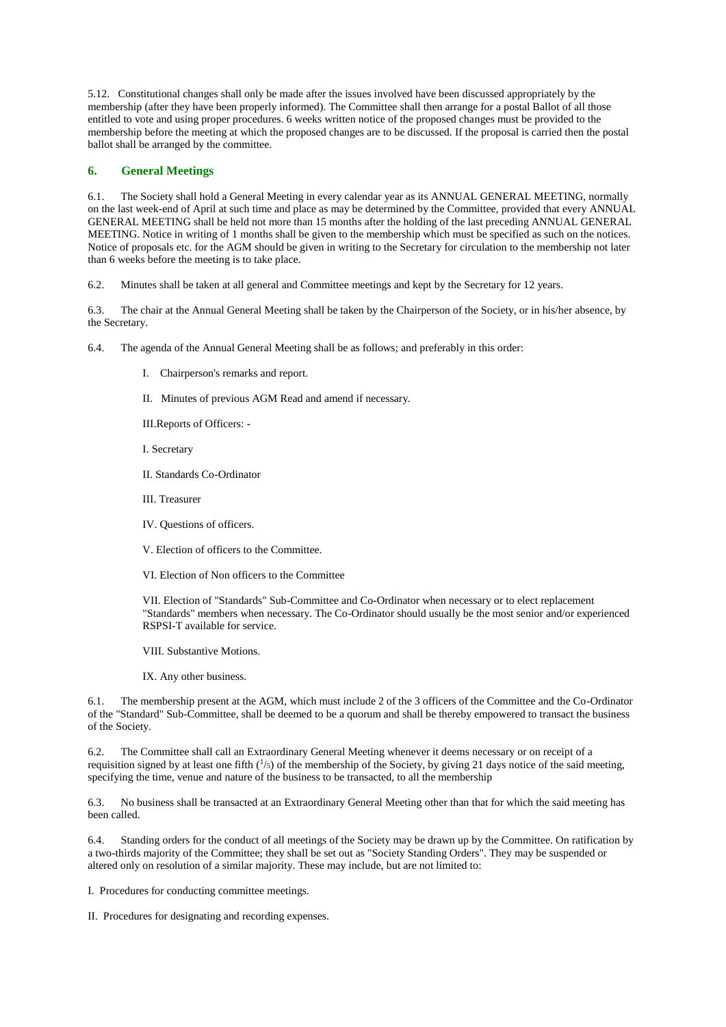5.12. Constitutional changes shall only be made after the issues involved have been discussed appropriately by the membership (after they have been properly informed). The Committee shall then arrange for a postal Ballot of all those entitled to vote and using proper procedures. 6 weeks written notice of the proposed changes must be provided to the membership before the meeting at which the proposed changes are to be discussed. If the proposal is carried then the postal ballot shall be arranged by the committee.

## **6. General Meetings**

6.1. The Society shall hold a General Meeting in every calendar year as its ANNUAL GENERAL MEETING, normally on the last week-end of April at such time and place as may be determined by the Committee, provided that every ANNUAL GENERAL MEETING shall be held not more than 15 months after the holding of the last preceding ANNUAL GENERAL MEETING. Notice in writing of 1 months shall be given to the membership which must be specified as such on the notices. Notice of proposals etc. for the AGM should be given in writing to the Secretary for circulation to the membership not later than 6 weeks before the meeting is to take place.

6.2. Minutes shall be taken at all general and Committee meetings and kept by the Secretary for 12 years.

6.3. The chair at the Annual General Meeting shall be taken by the Chairperson of the Society, or in his/her absence, by the Secretary.

6.4. The agenda of the Annual General Meeting shall be as follows; and preferably in this order:

- I. Chairperson's remarks and report.
- II. Minutes of previous AGM Read and amend if necessary.

III.Reports of Officers: -

I. Secretary

II. Standards Co-Ordinator

III. Treasurer

IV. Questions of officers.

V. Election of officers to the Committee.

VI. Election of Non officers to the Committee

VII. Election of "Standards" Sub-Committee and Co-Ordinator when necessary or to elect replacement "Standards" members when necessary. The Co-Ordinator should usually be the most senior and/or experienced RSPSI-T available for service.

VIII. Substantive Motions.

IX. Any other business.

6.1. The membership present at the AGM, which must include 2 of the 3 officers of the Committee and the Co-Ordinator of the "Standard" Sub-Committee, shall be deemed to be a quorum and shall be thereby empowered to transact the business of the Society.

6.2. The Committee shall call an Extraordinary General Meeting whenever it deems necessary or on receipt of a requisition signed by at least one fifth  $(1/s)$  of the membership of the Society, by giving 21 days notice of the said meeting, specifying the time, venue and nature of the business to be transacted, to all the membership

6.3. No business shall be transacted at an Extraordinary General Meeting other than that for which the said meeting has been called.

6.4. Standing orders for the conduct of all meetings of the Society may be drawn up by the Committee. On ratification by a two-thirds majority of the Committee; they shall be set out as "Society Standing Orders". They may be suspended or altered only on resolution of a similar majority. These may include, but are not limited to:

I. Procedures for conducting committee meetings.

II. Procedures for designating and recording expenses.